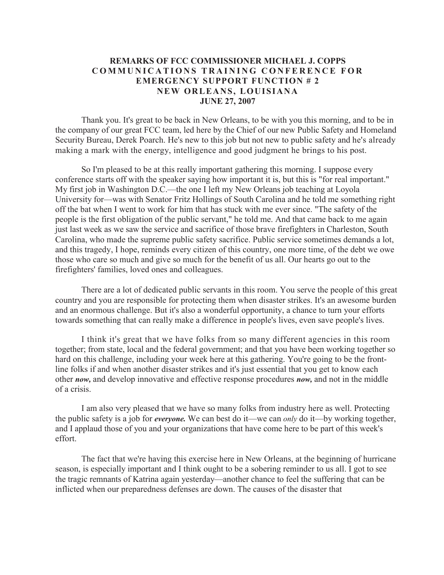## **REMARKS OF FCC COMMISSIONER MICHAEL J. COPPS COMMUNICATIONS TRAINING CONFERENCE FOR EMERGENCY SUPPORT FUNCTION # 2 NEW ORLEANS, LOUISIANA JUNE 27, 2007**

Thank you. It's great to be back in New Orleans, to be with you this morning, and to be in the company of our great FCC team, led here by the Chief of our new Public Safety and Homeland Security Bureau, Derek Poarch. He's new to this job but not new to public safety and he's already making a mark with the energy, intelligence and good judgment he brings to his post.

So I'm pleased to be at this really important gathering this morning. I suppose every conference starts off with the speaker saying how important it is, but this is "for real important." My first job in Washington D.C.—the one I left my New Orleans job teaching at Loyola University for—was with Senator Fritz Hollings of South Carolina and he told me something right off the bat when I went to work for him that has stuck with me ever since. "The safety of the people is the first obligation of the public servant," he told me. And that came back to me again just last week as we saw the service and sacrifice of those brave firefighters in Charleston, South Carolina, who made the supreme public safety sacrifice. Public service sometimes demands a lot, and this tragedy, I hope, reminds every citizen of this country, one more time, of the debt we owe those who care so much and give so much for the benefit of us all. Our hearts go out to the firefighters' families, loved ones and colleagues.

There are a lot of dedicated public servants in this room. You serve the people of this great country and you are responsible for protecting them when disaster strikes. It's an awesome burden and an enormous challenge. But it's also a wonderful opportunity, a chance to turn your efforts towards something that can really make a difference in people's lives, even save people's lives.

I think it's great that we have folks from so many different agencies in this room together; from state, local and the federal government; and that you have been working together so hard on this challenge, including your week here at this gathering. You're going to be the frontline folks if and when another disaster strikes and it's just essential that you get to know each other *now,* and develop innovative and effective response procedures *now,* and not in the middle of a crisis.

I am also very pleased that we have so many folks from industry here as well. Protecting the public safety is a job for *everyone.* We can best do it—we can *only* do it—by working together, and I applaud those of you and your organizations that have come here to be part of this week's effort.

The fact that we're having this exercise here in New Orleans, at the beginning of hurricane season, is especially important and I think ought to be a sobering reminder to us all. I got to see the tragic remnants of Katrina again yesterday—another chance to feel the suffering that can be inflicted when our preparedness defenses are down. The causes of the disaster that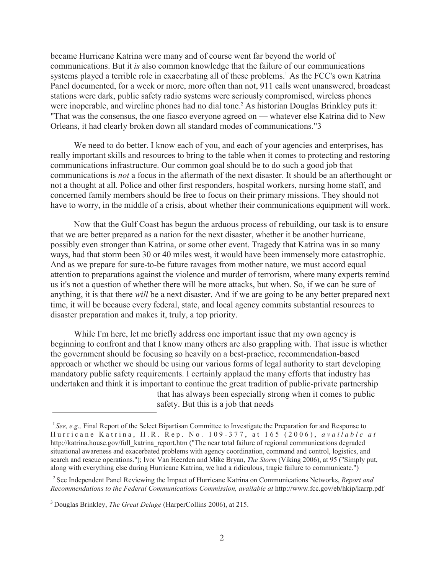became Hurricane Katrina were many and of course went far beyond the world of communications. But it *is* also common knowledge that the failure of our communications systems played a terrible role in exacerbating all of these problems.<sup>1</sup> As the FCC's own Katrina Panel documented, for a week or more, more often than not, 911 calls went unanswered, broadcast stations were dark, public safety radio systems were seriously compromised, wireless phones were inoperable, and wireline phones had no dial tone.<sup>2</sup> As historian Douglas Brinkley puts it: "That was the consensus, the one fiasco everyone agreed on — whatever else Katrina did to New Orleans, it had clearly broken down all standard modes of communications."3

We need to do better. I know each of you, and each of your agencies and enterprises, has really important skills and resources to bring to the table when it comes to protecting and restoring communications infrastructure. Our common goal should be to do such a good job that communications is *not* a focus in the aftermath of the next disaster. It should be an afterthought or not a thought at all. Police and other first responders, hospital workers, nursing home staff, and concerned family members should be free to focus on their primary missions. They should not have to worry, in the middle of a crisis, about whether their communications equipment will work.

Now that the Gulf Coast has begun the arduous process of rebuilding, our task is to ensure that we are better prepared as a nation for the next disaster, whether it be another hurricane, possibly even stronger than Katrina, or some other event. Tragedy that Katrina was in so many ways, had that storm been 30 or 40 miles west, it would have been immensely more catastrophic. And as we prepare for sure-to-be future ravages from mother nature, we must accord equal attention to preparations against the violence and murder of terrorism, where many experts remind us it's not a question of whether there will be more attacks, but when. So, if we can be sure of anything, it is that there *will* be a next disaster. And if we are going to be any better prepared next time, it will be because every federal, state, and local agency commits substantial resources to disaster preparation and makes it, truly, a top priority.

While I'm here, let me briefly address one important issue that my own agency is beginning to confront and that I know many others are also grappling with. That issue is whether the government should be focusing so heavily on a best-practice, recommendation-based approach or whether we should be using our various forms of legal authority to start developing mandatory public safety requirements. I certainly applaud the many efforts that industry has undertaken and think it is important to continue the great tradition of public-private partnership that has always been especially strong when it comes to public

safety. But this is a job that needs

<sup>&</sup>lt;sup>I</sup> See, e.g., Final Report of the Select Bipartisan Committee to Investigate the Preparation for and Response to Hurricane Katrina, H.R. Rep. No. 109 - 377, at 165 (2006), *available at*  http://katrina.house.gov/full\_katrina\_report.htm ("The near total failure of regional communications degraded situational awareness and exacerbated problems with agency coordination, command and control, logistics, and search and rescue operations."); Ivor Van Heerden and Mike Bryan, *The Storm* (Viking 2006), at 95 ("Simply put, along with everything else during Hurricane Katrina, we had a ridiculous, tragic failure to communicate.")

<sup>2</sup>See Independent Panel Reviewing the Impact of Hurricane Katrina on Communications Networks, *Report and Recommendations to the Federal Communications Commission, available at* http://www.fcc.gov/eb/hkip/karrp.pdf

<sup>3</sup>Douglas Brinkley, *The Great Deluge* (HarperCollins 2006), at 215.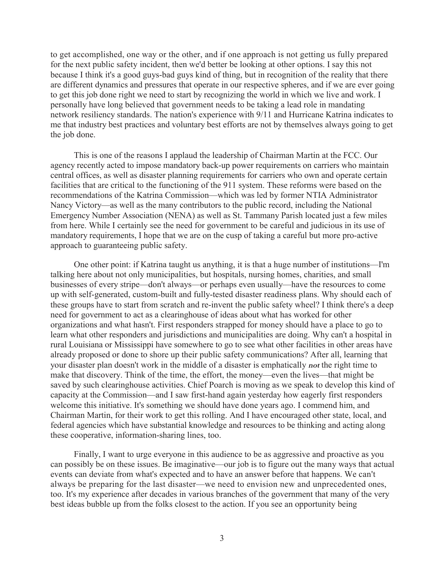to get accomplished, one way or the other, and if one approach is not getting us fully prepared for the next public safety incident, then we'd better be looking at other options. I say this not because I think it's a good guys-bad guys kind of thing, but in recognition of the reality that there are different dynamics and pressures that operate in our respective spheres, and if we are ever going to get this job done right we need to start by recognizing the world in which we live and work. I personally have long believed that government needs to be taking a lead role in mandating network resiliency standards. The nation's experience with 9/11 and Hurricane Katrina indicates to me that industry best practices and voluntary best efforts are not by themselves always going to get the job done.

This is one of the reasons I applaud the leadership of Chairman Martin at the FCC. Our agency recently acted to impose mandatory back-up power requirements on carriers who maintain central offices, as well as disaster planning requirements for carriers who own and operate certain facilities that are critical to the functioning of the 911 system. These reforms were based on the recommendations of the Katrina Commission—which was led by former NTIA Administrator Nancy Victory—as well as the many contributors to the public record, including the National Emergency Number Association (NENA) as well as St. Tammany Parish located just a few miles from here. While I certainly see the need for government to be careful and judicious in its use of mandatory requirements, I hope that we are on the cusp of taking a careful but more pro-active approach to guaranteeing public safety.

One other point: if Katrina taught us anything, it is that a huge number of institutions—I'm talking here about not only municipalities, but hospitals, nursing homes, charities, and small businesses of every stripe—don't always—or perhaps even usually—have the resources to come up with self-generated, custom-built and fully-tested disaster readiness plans. Why should each of these groups have to start from scratch and re-invent the public safety wheel? I think there's a deep need for government to act as a clearinghouse of ideas about what has worked for other organizations and what hasn't. First responders strapped for money should have a place to go to learn what other responders and jurisdictions and municipalities are doing. Why can't a hospital in rural Louisiana or Mississippi have somewhere to go to see what other facilities in other areas have already proposed or done to shore up their public safety communications? After all, learning that your disaster plan doesn't work in the middle of a disaster is emphatically **not** the right time to make that discovery. Think of the time, the effort, the money—even the lives—that might be saved by such clearinghouse activities. Chief Poarch is moving as we speak to develop this kind of capacity at the Commission—and I saw first-hand again yesterday how eagerly first responders welcome this initiative. It's something we should have done years ago. I commend him, and Chairman Martin, for their work to get this rolling. And I have encouraged other state, local, and federal agencies which have substantial knowledge and resources to be thinking and acting along these cooperative, information-sharing lines, too.

Finally, I want to urge everyone in this audience to be as aggressive and proactive as you can possibly be on these issues. Be imaginative—our job is to figure out the many ways that actual events can deviate from what's expected and to have an answer before that happens. We can't always be preparing for the last disaster—we need to envision new and unprecedented ones, too. It's my experience after decades in various branches of the government that many of the very best ideas bubble up from the folks closest to the action. If you see an opportunity being